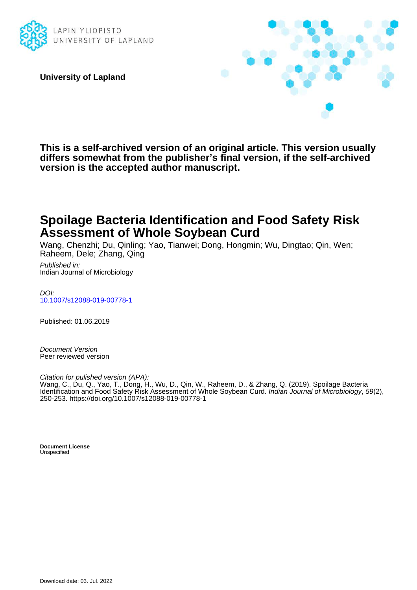

**University of Lapland**



**This is a self-archived version of an original article. This version usually differs somewhat from the publisher's final version, if the self-archived version is the accepted author manuscript.**

# **Spoilage Bacteria Identification and Food Safety Risk Assessment of Whole Soybean Curd**

Wang, Chenzhi; Du, Qinling; Yao, Tianwei; Dong, Hongmin; Wu, Dingtao; Qin, Wen; Raheem, Dele; Zhang, Qing

Published in: Indian Journal of Microbiology

DOI: [10.1007/s12088-019-00778-1](https://doi.org/10.1007/s12088-019-00778-1)

Published: 01.06.2019

Document Version Peer reviewed version

Citation for pulished version (APA):

Wang, C., Du, Q., Yao, T., Dong, H., Wu, D., Qin, W., Raheem, D., & Zhang, Q. (2019). Spoilage Bacteria Identification and Food Safety Risk Assessment of Whole Soybean Curd. Indian Journal of Microbiology, 59(2), 250-253.<https://doi.org/10.1007/s12088-019-00778-1>

**Document License Unspecified**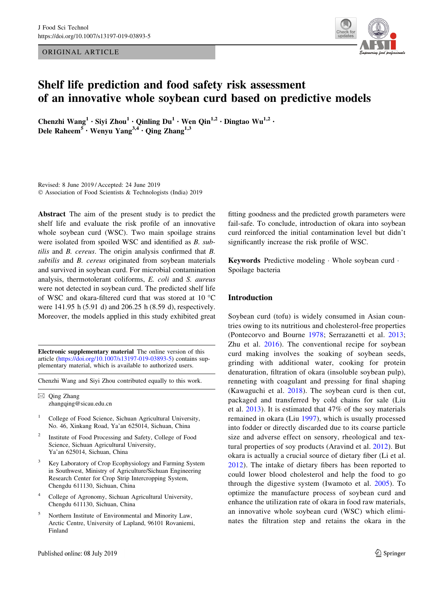ORIGINAL ARTICLE



## Shelf life prediction and food safety risk assessment of an innovative whole soybean curd based on predictive models

Chenzhi Wang<sup>1</sup> · Siyi Zhou<sup>1</sup> · Qinling Du<sup>1</sup> · Wen Qin<sup>1,2</sup> · Dingtao Wu<sup>1,2</sup> · Dele Raheem<sup>5</sup> • Wenyu Yang<sup>3,4</sup> • Qing Zhang<sup>1,3</sup>

Revised: 8 June 2019 / Accepted: 24 June 2019 © Association of Food Scientists & Technologists (India) 2019

Abstract The aim of the present study is to predict the shelf life and evaluate the risk profile of an innovative whole soybean curd (WSC). Two main spoilage strains were isolated from spoiled WSC and identified as B. subtilis and B. cereus. The origin analysis confirmed that B. subtilis and B. cereus originated from soybean materials and survived in soybean curd. For microbial contamination analysis, thermotolerant coliforms, E. coli and S. aureus were not detected in soybean curd. The predicted shelf life of WSC and okara-filtered curd that was stored at 10  $^{\circ}$ C were 141.95 h (5.91 d) and 206.25 h (8.59 d), respectively. Moreover, the models applied in this study exhibited great

Electronic supplementary material The online version of this article [\(https://doi.org/10.1007/s13197-019-03893-5](https://doi.org/10.1007/s13197-019-03893-5)) contains supplementary material, which is available to authorized users.

Chenzhi Wang and Siyi Zhou contributed equally to this work.

 $\boxtimes$  Qing Zhang zhangqing@sicau.edu.cn

- <sup>1</sup> College of Food Science, Sichuan Agricultural University, No. 46, Xinkang Road, Ya'an 625014, Sichuan, China
- <sup>2</sup> Institute of Food Processing and Safety, College of Food Science, Sichuan Agricultural University, Ya'an 625014, Sichuan, China
- <sup>3</sup> Key Laboratory of Crop Ecophysiology and Farming System in Southwest, Ministry of Agriculture/Sichuan Engineering Research Center for Crop Strip Intercropping System, Chengdu 611130, Sichuan, China
- College of Agronomy, Sichuan Agricultural University, Chengdu 611130, Sichuan, China
- <sup>5</sup> Northern Institute of Environmental and Minority Law, Arctic Centre, University of Lapland, 96101 Rovaniemi, Finland

fitting goodness and the predicted growth parameters were fail-safe. To conclude, introduction of okara into soybean curd reinforced the initial contamination level but didn't significantly increase the risk profile of WSC.

Keywords Predictive modeling - Whole soybean curd - Spoilage bacteria

## Introduction

Soybean curd (tofu) is widely consumed in Asian countries owing to its nutritious and cholesterol-free properties (Pontecorvo and Bourne [1978](#page-9-0); Serrazanetti et al. [2013](#page-9-0); Zhu et al. [2016\)](#page-9-0). The conventional recipe for soybean curd making involves the soaking of soybean seeds, grinding with additional water, cooking for protein denaturation, filtration of okara (insoluble soybean pulp), renneting with coagulant and pressing for final shaping (Kawaguchi et al. [2018](#page-9-0)). The soybean curd is then cut, packaged and transferred by cold chains for sale (Liu et al. [2013](#page-9-0)). It is estimated that 47% of the soy materials remained in okara (Liu [1997\)](#page-9-0), which is usually processed into fodder or directly discarded due to its coarse particle size and adverse effect on sensory, rheological and textural properties of soy products (Aravind et al. [2012\)](#page-8-0). But okara is actually a crucial source of dietary fiber (Li et al. [2012](#page-9-0)). The intake of dietary fibers has been reported to could lower blood cholesterol and help the food to go through the digestive system (Iwamoto et al. [2005\)](#page-9-0). To optimize the manufacture process of soybean curd and enhance the utilization rate of okara in food raw materials, an innovative whole soybean curd (WSC) which eliminates the filtration step and retains the okara in the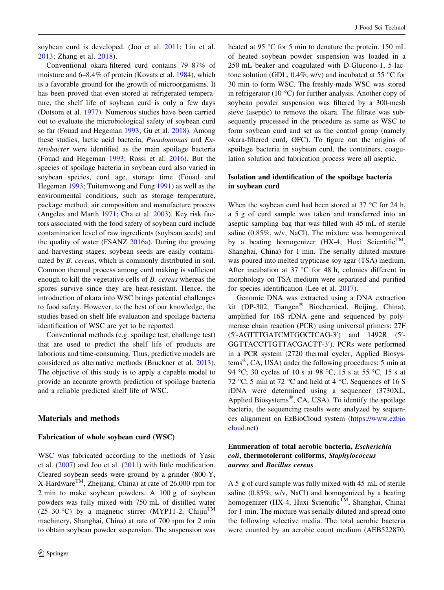soybean curd is developed. (Joo et al. [2011](#page-9-0); Liu et al. [2013](#page-9-0); Zhang et al. [2018\)](#page-9-0).

Conventional okara-filtered curd contains 79–87% of moisture and 6–8.4% of protein (Kovats et al. [1984](#page-9-0)), which is a favorable ground for the growth of microorganisms. It has been proved that even stored at refrigerated temperature, the shelf life of soybean curd is only a few days (Dotsom et al. [1977](#page-8-0)). Numerous studies have been carried out to evaluate the microbiological safety of soybean curd so far (Fouad and Hegeman [1993;](#page-9-0) Gu et al. [2018](#page-9-0)). Among these studies, lactic acid bacteria, Pseudomonas and Enterobacter were identified as the main spoilage bacteria (Fouad and Hegeman [1993](#page-9-0); Rossi et al. [2016](#page-9-0)). But the species of spoilage bacteria in soybean curd also varied in soybean species, curd age, storage time (Fouad and Hegeman [1993;](#page-9-0) Tuitemwong and Fung [1991](#page-9-0)) as well as the environmental conditions, such as storage temperature, package method, air composition and manufacture process (Angeles and Marth [1971](#page-8-0); Cha et al. [2003\)](#page-8-0). Key risk factors associated with the food safety of soybean curd include contamination level of raw ingredients (soybean seeds) and the quality of water (FSANZ [2016a\)](#page-9-0). During the growing and harvesting stages, soybean seeds are easily contaminated by B. cereus, which is commonly distributed in soil. Common thermal process among curd making is sufficient enough to kill the vegetative cells of B. cereus whereas the spores survive since they are heat-resistant. Hence, the introduction of okara into WSC brings potential challenges to food safety. However, to the best of our knowledge, the studies based on shelf life evaluation and spoilage bacteria identification of WSC are yet to be reported.

Conventional methods (e.g. spoilage test, challenge test) that are used to predict the shelf life of products are laborious and time-consuming. Thus, predictive models are considered as alternative methods (Bruckner et al. [2013](#page-8-0)). The objective of this study is to apply a capable model to provide an accurate growth prediction of spoilage bacteria and a reliable predicted shelf life of WSC.

#### Materials and methods

#### Fabrication of whole soybean curd (WSC)

WSC was fabricated according to the methods of Yasir et al. ([2007\)](#page-9-0) and Joo et al. ([2011](#page-9-0)) with little modification. Cleared soybean seeds were ground by a grinder (800-Y,  $X$ -Hardware<sup>TM</sup>, Zhejiang, China) at rate of 26,000 rpm for 2 min to make soybean powders. A 100 g of soybean powders was fully mixed with 750 mL of distilled water (25–30 °C) by a magnetic stirrer (MYP11-2, Chijiu<sup>TM</sup> machinery, Shanghai, China) at rate of 700 rpm for 2 min to obtain soybean powder suspension. The suspension was heated at 95  $\degree$ C for 5 min to denature the protein. 150 mL of heated soybean powder suspension was loaded in a 250 mL beaker and coagulated with D-Glucono-1, 5-lactone solution (GDL,  $0.4\%$ , w/v) and incubated at 55 °C for 30 min to form WSC. The freshly-made WSC was stored in refrigerator (10  $^{\circ}$ C) for further analysis. Another copy of soybean powder suspension was filtered by a 300-mesh sieve (aseptic) to remove the okara. The filtrate was subsequently processed in the procedure as same as WSC to form soybean curd and set as the control group (namely okara-filtered curd, OFC). To figure out the origins of spoilage bacteria in soybean curd, the containers, coagulation solution and fabrication process were all aseptic.

## Isolation and identification of the spoilage bacteria in soybean curd

When the soybean curd had been stored at  $37^{\circ}$ C for 24 h, a 5 g of curd sample was taken and transferred into an aseptic sampling bag that was filled with 45 mL of sterile saline (0.85%, w/v, NaCl). The mixture was homogenized by a beating homogenizer (HX-4, Huxi Scientific<sup>TM</sup>, Shanghai, China) for 1 min. The serially diluted mixture was poured into melted trypticase soy agar (TSA) medium. After incubation at  $37^{\circ}$ C for 48 h, colonies different in morphology on TSA medium were separated and purified for species identification (Lee et al. [2017\)](#page-9-0).

Genomic DNA was extracted using a DNA extraction kit (DP-302, Tiangen<sup>®</sup> Biochemical, Beijing, China), amplified for 16S rDNA gene and sequenced by polymerase chain reaction (PCR) using universal primers: 27F (5'-AGTTTGATCMTGGCTCAG-3') and 1492R (5'-GGTTACCTTGTTACGACTT-3'). PCRs were performed in a PCR system (2720 thermal cycler, Applied Biosystems $\mathcal{R}$ , CA, USA) under the following procedures: 5 min at 94 °C; 30 cycles of 10 s at 98 °C, 15 s at 55 °C, 15 s at 72 °C; 5 min at 72 °C and held at 4 °C. Sequences of 16 S rDNA were determined using a sequencer (3730XL, Applied Biosystems<sup>®</sup>, CA, USA). To identify the spoilage bacteria, the sequencing results were analyzed by sequences alignment on EzBioCloud system ([https://www.ezbio](https://www.ezbiocloud.net) [cloud.net](https://www.ezbiocloud.net)).

## Enumeration of total aerobic bacteria, Escherichia coli, thermotolerant coliforms, Staphylococcus aureus and Bacillus cereus

A 5 g of curd sample was fully mixed with 45 mL of sterile saline (0.85%, w/v, NaCl) and homogenized by a beating homogenizer (HX-4, Huxi Scientific<sup>TM</sup>, Shanghai, China) for 1 min. The mixture was serially diluted and spread onto the following selective media. The total aerobic bacteria were counted by an aerobic count medium (AEB522870,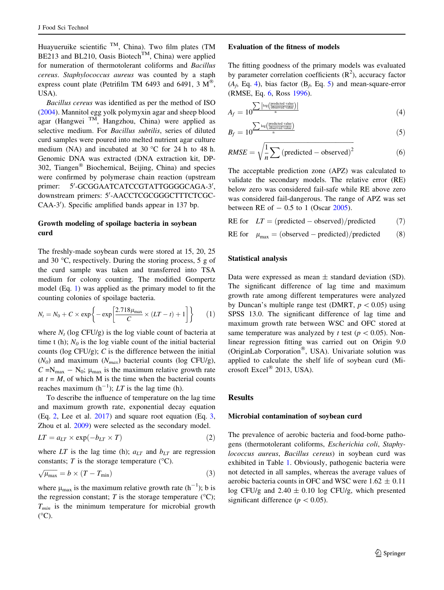Huayueruike scientific  $^{TM}$ . China). Two film plates (TM BE213 and BL210, Oasis Biotech<sup>TM</sup>, China) were applied for numeration of thermotolerant coliforms and Bacillus cereus. Staphylococcus aureus was counted by a staph express count plate (Petrifilm TM 6493 and 6491, 3  $M^{\circledR}$ , USA).

Bacillus cereus was identified as per the method of ISO [\(2004](#page-9-0)). Mannitol egg yolk polymyxin agar and sheep blood agar (Hangwei TM, Hangzhou, China) were applied as selective medium. For Bacillus subtilis, series of diluted curd samples were poured into melted nutrient agar culture medium (NA) and incubated at 30  $^{\circ}$ C for 24 h to 48 h. Genomic DNA was extracted (DNA extraction kit, DP-302, Tiangen<sup>®</sup> Biochemical, Beijing, China) and species were confirmed by polymerase chain reaction (upstream primer: -GCGGAATCATCCGTATTGGGGCAGA-3', downstream primers: 5'-AACCTCGCGGGCTTTCTCGC-CAA-3'). Specific amplified bands appear in 137 bp.

## Growth modeling of spoilage bacteria in soybean curd

The freshly-made soybean curds were stored at 15, 20, 25 and 30  $\degree$ C, respectively. During the storing process, 5 g of the curd sample was taken and transferred into TSA medium for colony counting. The modified Gompertz model (Eq. 1) was applied as the primary model to fit the counting colonies of spoilage bacteria.

$$
N_t = N_0 + C \times \exp\left\{-\exp\left[\frac{2.718\mu_{\text{max}}}{C} \times (LT - t) + 1\right]\right\} \tag{1}
$$

where  $N_t$  (log CFU/g) is the log viable count of bacteria at time t (h);  $N_0$  is the log viable count of the initial bacterial counts ( $log CFU/g$ ); C is the difference between the initial  $(N_0)$  and maximum  $(N_{max})$  bacterial counts (log CFU/g),  $C = N_{\text{max}} - N_0$ ;  $\mu_{\text{max}}$  is the maximum relative growth rate at  $t = M$ , of which M is the time when the bacterial counts reaches maximum  $(h^{-1})$ ; LT is the lag time (h).

To describe the influence of temperature on the lag time and maximum growth rate, exponential decay equation (Eq. 2, Lee et al. [2017\)](#page-9-0) and square root equation (Eq. 3, Zhou et al. [2009](#page-9-0)) were selected as the secondary model.

$$
LT = a_{LT} \times \exp(-b_{LT} \times T) \tag{2}
$$

where LT is the lag time (h);  $a_{LT}$  and  $b_{LT}$  are regression constants;  $T$  is the storage temperature ( $\rm ^{\circ}C$ ).

$$
\sqrt{\mu_{\text{max}}} = b \times (T - T_{\text{min}}) \tag{3}
$$

where  $\mu_{\text{max}}$  is the maximum relative growth rate  $(h^{-1})$ ; b is the regression constant;  $T$  is the storage temperature ( $\rm ^{o}C$ );  $T_{min}$  is the minimum temperature for microbial growth  $(^{\circ}C)$ .

#### Evaluation of the fitness of models

The fitting goodness of the primary models was evaluated by parameter correlation coefficients  $(R^2)$ , accuracy factor  $(A_f, Eq. 4)$ , bias factor  $(B_f, Eq. 5)$  and mean-square-error (RMSE, Eq. 6, Ross [1996\)](#page-9-0).

$$
A_f = 10^{\sum \left| \log \left( \frac{\text{predicted value}}{\text{observed value}} \right) \right|} \tag{4}
$$

$$
B_f = 10^{\frac{\sum \log \left(\frac{\text{predicted value}}{\text{observed value}}\right)}{n}} \tag{5}
$$

$$
RMSE = \sqrt{\frac{1}{n} \sum \left( \text{predicted} - \text{observed} \right)^2} \tag{6}
$$

The acceptable prediction zone (APZ) was calculated to validate the secondary models. The relative error (RE) below zero was considered fail-safe while RE above zero was considered fail-dangerous. The range of APZ was set between RE of  $-0.5$  to 1 (Oscar [2005\)](#page-9-0).

RE for 
$$
LT = (predicted - observed)/predicted
$$
 (7)

RE for 
$$
\mu_{\text{max}} = (\text{observed} - \text{predicted})/\text{predicted}
$$
 (8)

#### Statistical analysis

Data were expressed as mean  $\pm$  standard deviation (SD). The significant difference of lag time and maximum growth rate among different temperatures were analyzed by Duncan's multiple range test (DMRT,  $p < 0.05$ ) using SPSS 13.0. The significant difference of lag time and maximum growth rate between WSC and OFC stored at same temperature was analyzed by t test ( $p < 0.05$ ). Nonlinear regression fitting was carried out on Origin 9.0 (OriginLab Corporation®, USA). Univariate solution was applied to calculate the shelf life of soybean curd (Microsoft Excel<sup>®</sup> 2013, USA).

## Results

#### Microbial contamination of soybean curd

The prevalence of aerobic bacteria and food-borne pathogens (thermotolerant coliforms, Escherichia coli, Staphylococcus aureus, Bacillus cereus) in soybean curd was exhibited in Table [1](#page-4-0). Obviously, pathogenic bacteria were not detected in all samples, whereas the average values of aerobic bacteria counts in OFC and WSC were  $1.62 \pm 0.11$ log CFU/g and  $2.40 \pm 0.10$  log CFU/g, which presented significant difference ( $p < 0.05$ ).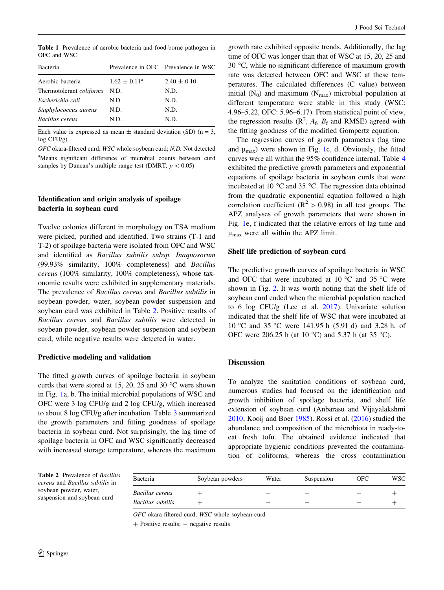<span id="page-4-0"></span>Table 1 Prevalence of aerobic bacteria and food-borne pathogen in OFC and WSC

| Bacteria                        |                         | Prevalence in OFC Prevalence in WSC |
|---------------------------------|-------------------------|-------------------------------------|
| Aerobic bacteria                | $1.62 \pm 0.11^{\circ}$ | $2.40 \pm 0.10$                     |
| Thermotolerant <i>coliforms</i> | N.D.                    | N.D.                                |
| Escherichia coli                | N.D.                    | N.D.                                |
| Staphylococcus aureus           | N.D.                    | N.D.                                |
| Bacillus cereus                 | N.D.                    | N.D.                                |
|                                 |                         |                                     |

Each value is expressed as mean  $\pm$  standard deviation (SD) (n = 3, log CFU/g)

OFC okara-filtered curd; WSC whole soybean curd; N.D. Not detected <sup>a</sup>Means significant difference of microbial counts between curd samples by Duncan's multiple range test (DMRT,  $p < 0.05$ )

## Identification and origin analysis of spoilage bacteria in soybean curd

Twelve colonies different in morphology on TSA medium were picked, purified and identified. Two strains (T-1 and T-2) of spoilage bacteria were isolated from OFC and WSC and identified as Bacillus subtilis subsp. Inaquosorum (99.93% similarity, 100% completeness) and Bacillus cereus (100% similarity, 100% completeness), whose taxonomic results were exhibited in supplementary materials. The prevalence of Bacillus cereus and Bacillus subtilis in soybean powder, water, soybean powder suspension and soybean curd was exhibited in Table 2. Positive results of Bacillus cereus and Bacillus subtilis were detected in soybean powder, soybean powder suspension and soybean curd, while negative results were detected in water.

## Predictive modeling and validation

The fitted growth curves of spoilage bacteria in soybean curds that were stored at 15, 20, 25 and 30  $^{\circ}$ C were shown in Fig. [1](#page-5-0)a, b. The initial microbial populations of WSC and OFC were 3 log CFU/g and 2 log CFU/g, which increased to about 8 log CFU/g after incubation. Table [3](#page-6-0) summarized the growth parameters and fitting goodness of spoilage bacteria in soybean curd. Not surprisingly, the lag time of spoilage bacteria in OFC and WSC significantly decreased with increased storage temperature, whereas the maximum

growth rate exhibited opposite trends. Additionally, the lag time of OFC was longer than that of WSC at 15, 20, 25 and 30 $\degree$ C, while no significant difference of maximum growth rate was detected between OFC and WSC at these temperatures. The calculated differences (C value) between initial  $(N_0)$  and maximum  $(N_{\text{max}})$  microbial population at different temperature were stable in this study (WSC: 4.96–5.22, OFC: 5.96–6.17). From statistical point of view, the regression results  $(R^2, A_f, B_f$  and RMSE) agreed with the fitting goodness of the modified Gompertz equation.

The regression curves of growth parameters (lag time and  $\mu_{\text{max}}$ ) were shown in Fig. [1](#page-5-0)c, d. Obviously, the fitted curves were all within the 95% confidence internal. Table [4](#page-6-0) exhibited the predictive growth parameters and exponential equations of spoilage bacteria in soybean curds that were incubated at 10  $\degree$ C and 35  $\degree$ C. The regression data obtained from the quadratic exponential equation followed a high correlation coefficient ( $\mathbb{R}^2$  > 0.98) in all test groups. The APZ analyses of growth parameters that were shown in Fig. [1](#page-5-0)e, f indicated that the relative errors of lag time and  $\mu_{\text{max}}$  were all within the APZ limit.

## Shelf life prediction of soybean curd

The predictive growth curves of spoilage bacteria in WSC and OFC that were incubated at 10  $\degree$ C and 35  $\degree$ C were shown in Fig. [2](#page-7-0). It was worth noting that the shelf life of soybean curd ended when the microbial population reached to 6 log CFU/g (Lee et al. [2017\)](#page-9-0). Univariate solution indicated that the shelf life of WSC that were incubated at 10 °C and 35 °C were 141.95 h (5.91 d) and 3.28 h, of OFC were 206.25 h (at 10  $^{\circ}$ C) and 5.37 h (at 35  $^{\circ}$ C).

## Discussion

To analyze the sanitation conditions of soybean curd, numerous studies had focused on the identification and growth inhibition of spoilage bacteria, and shelf life extension of soybean curd (Anbarasu and Vijayalakshmi [2010](#page-8-0); Kooij and Boer [1985\)](#page-9-0). Rossi et al. ([2016\)](#page-9-0) studied the abundance and composition of the microbiota in ready-toeat fresh tofu. The obtained evidence indicated that appropriate hygienic conditions prevented the contamination of coliforms, whereas the cross contamination

Table 2 Prevalence of Bacillus cereus and Bacillus subtilis in soybean powder, water, suspension and soybean curd

| Bacteria          | Soybean powders | Water | Suspension | OFC | WSC- |
|-------------------|-----------------|-------|------------|-----|------|
| Bacillus cereus   |                 |       |            |     |      |
| Bacillus subtilis |                 |       |            |     |      |

OFC okara-filtered curd; WSC whole soybean curd

 $+$  Positive results;  $-$  negative results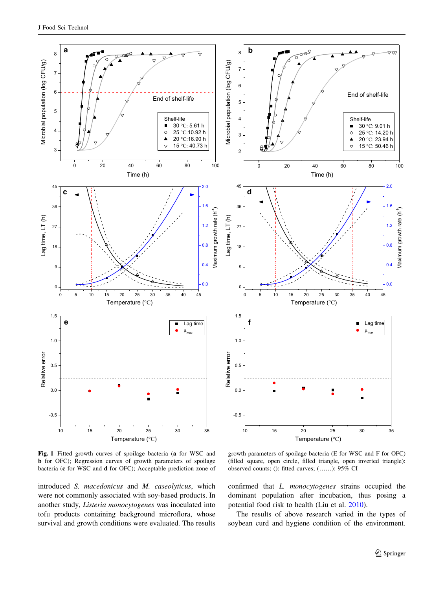<span id="page-5-0"></span>

Fig. 1 Fitted growth curves of spoilage bacteria (a for WSC and b for OFC); Regression curves of growth parameters of spoilage bacteria (c for WSC and d for OFC); Acceptable prediction zone of

growth parameters of spoilage bacteria (E for WSC and F for OFC) (filled square, open circle, filled triangle, open inverted triangle): observed counts; (): fitted curves; (……): 95% CI

introduced S. macedonicus and M. caseolyticus, which were not commonly associated with soy-based products. In another study, Listeria monocytogenes was inoculated into tofu products containing background microflora, whose survival and growth conditions were evaluated. The results confirmed that L. monocytogenes strains occupied the dominant population after incubation, thus posing a potential food risk to health (Liu et al. [2010\)](#page-9-0).

The results of above research varied in the types of soybean curd and hygiene condition of the environment.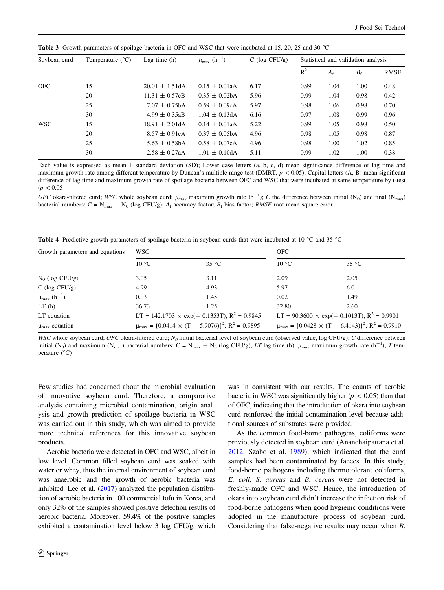| Temperature $(^{\circ}C)$<br>Soybean curd |                     | $\mu_{\text{max}}$ (h <sup>-1</sup> ) | $C$ (log CFU/g) | Statistical and validation analysis |             |             |      |
|-------------------------------------------|---------------------|---------------------------------------|-----------------|-------------------------------------|-------------|-------------|------|
|                                           |                     |                                       |                 | $R^2$                               | $A_{\rm f}$ | $B_{\rm f}$ | RMSE |
| 15                                        | $20.01 \pm 1.51$ dA | $0.15 \pm 0.01$ aA                    | 6.17            | 0.99                                | 1.04        | 1.00        | 0.48 |
| 20                                        | $11.31 \pm 0.57cB$  | $0.35 \pm 0.02$ bA                    | 5.96            | 0.99                                | 1.04        | 0.98        | 0.42 |
| 25                                        | $7.07 \pm 0.75bA$   | $0.59 \pm 0.09cA$                     | 5.97            | 0.98                                | 1.06        | 0.98        | 0.70 |
| 30                                        | $4.99 \pm 0.35$ aB  | $1.04 \pm 0.13$ dA                    | 6.16            | 0.97                                | 1.08        | 0.99        | 0.96 |
| 15                                        | $18.91 \pm 2.01$ dA | $0.14 \pm 0.01$ aA                    | 5.22            | 0.99                                | 1.05        | 0.98        | 0.50 |
| 20                                        | $8.57 \pm 0.91cA$   | $0.37 \pm 0.05$ bA                    | 4.96            | 0.98                                | 1.05        | 0.98        | 0.87 |
| 25                                        | $5.63 \pm 0.58$ bA  | $0.58 \pm 0.07cA$                     | 4.96            | 0.98                                | 1.00        | 1.02        | 0.85 |
| 30                                        | $2.58 \pm 0.27$ aA  | $1.01 \pm 0.10$ dA                    | 5.11            | 0.99                                | 1.02        | 1.00        | 0.38 |
|                                           |                     | Lag time $(h)$                        |                 |                                     |             |             |      |

<span id="page-6-0"></span>Table 3 Growth parameters of spoilage bacteria in OFC and WSC that were incubated at 15, 20, 25 and 30 °C

Each value is expressed as mean  $\pm$  standard deviation (SD); Lower case letters (a, b, c, d) mean significance difference of lag time and maximum growth rate among different temperature by Duncan's multiple range test (DMRT,  $p < 0.05$ ); Capital letters (A, B) mean significant difference of lag time and maximum growth rate of spoilage bacteria between OFC and WSC that were incubated at same temperature by t-test  $(p < 0.05)$ 

OFC okara-filtered curd; WSC whole soybean curd;  $\mu_{max}$  maximum growth rate (h<sup>-1</sup>); C the difference between initial (N<sub>0</sub>) and final (N<sub>max</sub>) bacterial numbers:  $C = N_{max} - N_0$  (log CFU/g);  $A_f$  accuracy factor;  $B_f$  bias factor; RMSE root mean square error

Table 4 Predictive growth parameters of spoilage bacteria in soybean curds that were incubated at 10 °C and 35 °C

| Growth parameters and equations       | <b>WSC</b>     |                                                                        | <b>OFC</b>     |                                                                        |  |
|---------------------------------------|----------------|------------------------------------------------------------------------|----------------|------------------------------------------------------------------------|--|
|                                       | $10^{\circ}$ C | $35^{\circ}$ C                                                         | $10^{\circ}$ C | $35^{\circ}$ C                                                         |  |
| $N_0$ (log CFU/g)                     | 3.05           | 3.11                                                                   | 2.09           | 2.05                                                                   |  |
| $C$ (log CFU/g)                       | 4.99           | 4.93                                                                   | 5.97           | 6.01                                                                   |  |
| $\mu_{\text{max}}$ (h <sup>-1</sup> ) | 0.03           | 1.45                                                                   | 0.02           | 1.49                                                                   |  |
| LT(h)                                 | 36.73          | 1.25                                                                   | 32.80          | 2.60                                                                   |  |
| LT equation                           |                | LT = 142.1703 $\times$ exp(- 0.1353T), R <sup>2</sup> = 0.9845         |                | LT = $90.3600 \times \exp(-0.1013T)$ , R <sup>2</sup> = 0.9901         |  |
| $\mu_{\text{max}}$ equation           |                | $\mu_{\text{max}} = \{0.0414 \times (T - 5.9076)\}^2$ , $R^2 = 0.9895$ |                | $\mu_{\text{max}} = \{0.0428 \times (T - 6.4143)\}^2$ , $R^2 = 0.9910$ |  |

WSC whole soybean curd; OFC okara-filtered curd; N<sub>0</sub> initial bacterial level of soybean curd (observed value, log CFU/g); C difference between initial (N<sub>0</sub>) and maximum (N<sub>max</sub>) bacterial numbers: C = N<sub>max</sub> - N<sub>0</sub> (log CFU/g); LT lag time (h);  $\mu_{max}$  maximum growth rate (h<sup>-1</sup>); T temperature  $(^{\circ}C)$ 

Few studies had concerned about the microbial evaluation of innovative soybean curd. Therefore, a comparative analysis containing microbial contamination, origin analysis and growth prediction of spoilage bacteria in WSC was carried out in this study, which was aimed to provide more technical references for this innovative soybean products.

Aerobic bacteria were detected in OFC and WSC, albeit in low level. Common filled soybean curd was soaked with water or whey, thus the internal environment of soybean curd was anaerobic and the growth of aerobic bacteria was inhibited. Lee et al.  $(2017)$  analyzed the population distribution of aerobic bacteria in 100 commercial tofu in Korea, and only 32% of the samples showed positive detection results of aerobic bacteria. Moreover, 59.4% of the positive samples exhibited a contamination level below 3 log CFU/g, which

was in consistent with our results. The counts of aerobic bacteria in WSC was significantly higher ( $p<0.05$ ) than that of OFC, indicating that the introduction of okara into soybean curd reinforced the initial contamination level because additional sources of substrates were provided.

As the common food-borne pathogens, coliforms were previously detected in soybean curd (Ananchaipattana et al. [2012](#page-8-0); Szabo et al. [1989\)](#page-9-0), which indicated that the curd samples had been contaminated by faeces. In this study, food-borne pathogens including thermotolerant coliforms, E. coli, S. aureus and B. cereus were not detected in freshly-made OFC and WSC. Hence, the introduction of okara into soybean curd didn't increase the infection risk of food-borne pathogens when good hygienic conditions were adopted in the manufacture process of soybean curd. Considering that false-negative results may occur when B.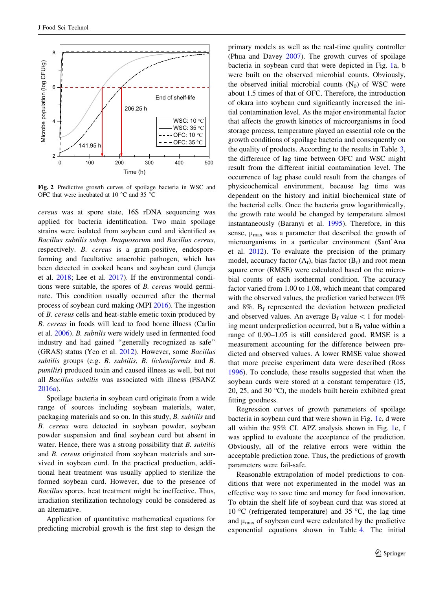<span id="page-7-0"></span>

Fig. 2 Predictive growth curves of spoilage bacteria in WSC and OFC that were incubated at 10  $^{\circ}$ C and 35  $^{\circ}$ C

cereus was at spore state, 16S rDNA sequencing was applied for bacteria identification. Two main spoilage strains were isolated from soybean curd and identified as Bacillus subtilis subsp. Inaquosorum and Bacillus cereus, respectively. B. cereus is a gram-positive, endosporeforming and facultative anaerobic pathogen, which has been detected in cooked beans and soybean curd (Juneja et al. [2018;](#page-9-0) Lee et al. [2017\)](#page-9-0). If the environmental conditions were suitable, the spores of B. cereus would germinate. This condition usually occurred after the thermal process of soybean curd making (MPI [2016\)](#page-9-0). The ingestion of B. cereus cells and heat-stable emetic toxin produced by B. cereus in foods will lead to food borne illness (Carlin et al. [2006](#page-8-0)). B. subtilis were widely used in fermented food industry and had gained ''generally recognized as safe'' (GRAS) status (Yeo et al. [2012](#page-9-0)). However, some Bacillus subtilis groups (e.g. B. subtilis, B. licheniformis and B. pumilis) produced toxin and caused illness as well, but not all Bacillus subtilis was associated with illness (FSANZ [2016a](#page-9-0)).

Spoilage bacteria in soybean curd originate from a wide range of sources including soybean materials, water, packaging materials and so on. In this study, B. subtilis and B. cereus were detected in soybean powder, soybean powder suspension and final soybean curd but absent in water. Hence, there was a strong possibility that B. subtilis and B. cereus originated from soybean materials and survived in soybean curd. In the practical production, additional heat treatment was usually applied to sterilize the formed soybean curd. However, due to the presence of Bacillus spores, heat treatment might be ineffective. Thus, irradiation sterilization technology could be considered as an alternative.

Application of quantitative mathematical equations for predicting microbial growth is the first step to design the primary models as well as the real-time quality controller (Phua and Davey [2007\)](#page-9-0). The growth curves of spoilage bacteria in soybean curd that were depicted in Fig. [1](#page-5-0)a, b were built on the observed microbial counts. Obviously, the observed initial microbial counts  $(N_0)$  of WSC were about 1.5 times of that of OFC. Therefore, the introduction of okara into soybean curd significantly increased the initial contamination level. As the major environmental factor that affects the growth kinetics of microorganisms in food storage process, temperature played an essential role on the growth conditions of spoilage bacteria and consequently on the quality of products. According to the results in Table [3,](#page-6-0) the difference of lag time between OFC and WSC might result from the different initial contamination level. The occurrence of lag phase could result from the changes of physicochemical environment, because lag time was dependent on the history and initial biochemical state of the bacterial cells. Once the bacteria grow logarithmically, the growth rate would be changed by temperature almost instantaneously (Baranyi et al. [1995\)](#page-8-0). Therefore, in this sense,  $\mu_{\text{max}}$  was a parameter that described the growth of microorganisms in a particular environment (Sant'Ana et al. [2012](#page-9-0)). To evaluate the precision of the primary model, accuracy factor  $(A_f)$ , bias factor  $(B_f)$  and root mean square error (RMSE) were calculated based on the microbial counts of each isothermal condition. The accuracy factor varied from 1.00 to 1.08, which meant that compared with the observed values, the prediction varied between  $0\%$ and  $8\%$ .  $B_f$  represented the deviation between predicted and observed values. An average  $B_f$  value  $\lt 1$  for modeling meant underprediction occurred, but a  $B_f$  value within a range of 0.90–1.05 is still considered good. RMSE is a measurement accounting for the difference between predicted and observed values. A lower RMSE value showed that more precise experiment data were described (Ross [1996](#page-9-0)). To conclude, these results suggested that when the soybean curds were stored at a constant temperature (15, 20, 25, and 30  $^{\circ}$ C), the models built herein exhibited great fitting goodness.

Regression curves of growth parameters of spoilage bacteria in soybean curd that were shown in Fig. [1](#page-5-0)c, d were all within the 95% CI. APZ analysis shown in Fig. [1e](#page-5-0), f was applied to evaluate the acceptance of the prediction. Obviously, all of the relative errors were within the acceptable prediction zone. Thus, the predictions of growth parameters were fail-safe.

Reasonable extrapolation of model predictions to conditions that were not experimented in the model was an effective way to save time and money for food innovation. To obtain the shelf life of soybean curd that was stored at 10 °C (refrigerated temperature) and 35 °C, the lag time and  $\mu_{\text{max}}$  of soybean curd were calculated by the predictive exponential equations shown in Table [4](#page-6-0). The initial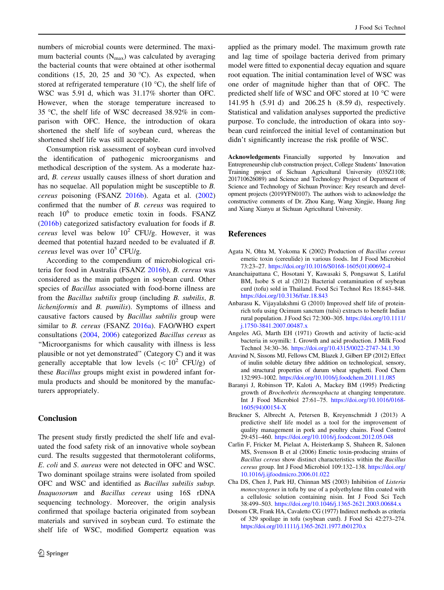<span id="page-8-0"></span>numbers of microbial counts were determined. The maximum bacterial counts  $(N_{\text{max}})$  was calculated by averaging the bacterial counts that were obtained at other isothermal conditions (15, 20, 25 and 30 °C). As expected, when stored at refrigerated temperature (10 $\degree$ C), the shelf life of WSC was 5.91 d, which was 31.17% shorter than OFC. However, when the storage temperature increased to 35 °C, the shelf life of WSC decreased  $38.92\%$  in comparison with OFC. Hence, the introduction of okara shortened the shelf life of soybean curd, whereas the shortened shelf life was still acceptable.

Consumption risk assessment of soybean curd involved the identification of pathogenic microorganisms and methodical description of the system. As a moderate hazard, B. cereus usually causes illness of short duration and has no sequelae. All population might be susceptible to B. cereus poisoning (FSANZ [2016b](#page-9-0)). Agata et al. (2002) confirmed that the number of B. cereus was required to reach  $10^6$  to produce emetic toxin in foods. FSANZ [\(2016b](#page-9-0)) categorized satisfactory evaluation for foods if B. cereus level was below  $10^2$  CFU/g. However, it was deemed that potential hazard needed to be evaluated if B. *cereus* level was over  $10^5$  CFU/g.

According to the compendium of microbiological criteria for food in Australia (FSANZ [2016b](#page-9-0)), B. cereus was considered as the main pathogen in soybean curd. Other species of Bacillus associated with food-borne illness are from the Bacillus subtilis group (including B. subtilis, B. licheniformis and B. pumilis). Symptoms of illness and causative factors caused by Bacillus subtilis group were similar to *B. cereus* (FSANZ [2016a\)](#page-9-0). FAO/WHO expert consultations ([2004,](#page-9-0) [2006](#page-9-0)) categorized Bacillus cereus as ''Microorganisms for which causality with illness is less plausible or not yet demonstrated'' (Category C) and it was generally acceptable that low levels  $(< 10^2 \text{ CFU/g})$  of these Bacillus groups might exist in powdered infant formula products and should be monitored by the manufacturers appropriately.

## Conclusion

The present study firstly predicted the shelf life and evaluated the food safety risk of an innovative whole soybean curd. The results suggested that thermotolerant coliforms, E. coli and S. aureus were not detected in OFC and WSC. Two dominant spoilage strains were isolated from spoiled OFC and WSC and identified as Bacillus subtilis subsp. Inaquosorum and Bacillus cereus using 16S rDNA sequencing technology. Moreover, the origin analysis confirmed that spoilage bacteria originated from soybean materials and survived in soybean curd. To estimate the shelf life of WSC, modified Gompertz equation was applied as the primary model. The maximum growth rate and lag time of spoilage bacteria derived from primary model were fitted to exponential decay equation and square root equation. The initial contamination level of WSC was one order of magnitude higher than that of OFC. The predicted shelf life of WSC and OFC stored at 10 °C were 141.95 h (5.91 d) and 206.25 h (8.59 d), respectively. Statistical and validation analyses supported the predictive purpose. To conclude, the introduction of okara into soybean curd reinforced the initial level of contamination but didn't significantly increase the risk profile of WSC.

Acknowledgements Financially supported by Innovation and Entrepreneurship club construction project, College Students' Innovation Training project of Sichuan Agricultural University (035Z1108; 201710626089) and Science and Technology Project of Department of Science and Technology of Sichuan Province: Key research and development projects (2019YFN0107). The authors wish to acknowledge the constructive comments of Dr. Zhou Kang, Wang Xingjie, Huang Jing and Xiang Xianyu at Sichuan Agricultural University.

## References

- Agata N, Ohta M, Yokoma K (2002) Production of Bacillus cereus emetic toxin (cereulide) in various foods. Int J Food Microbiol 73:23–27. [https://doi.org/10.1016/S0168-1605\(01\)00692-4](https://doi.org/10.1016/S0168-1605(01)00692-4)
- Ananchaipattana C, Hosotani Y, Kawasaki S, Pongsawat S, Latiful BM, Isobe S et al (2012) Bacterial contamination of soybean curd (tofu) sold in Thailand. Food Sci Technol Res 18:843–848. <https://doi.org/10.3136/fstr.18.843>
- Anbarasu K, Vijayalakshmi G (2010) Improved shelf life of proteinrich tofu using Ocimum sanctum (tulsi) extracts to benefit Indian rural population. J Food Sci 72:300–305. [https://doi.org/10.1111/](https://doi.org/10.1111/j.1750-3841.2007.00487.x) [j.1750-3841.2007.00487.x](https://doi.org/10.1111/j.1750-3841.2007.00487.x)
- Angeles AG, Marth EH (1971) Growth and activity of lactic-acid bacteria in soymilk: I. Growth and acid production. J Milk Food Technol 34:30–36. <https://doi.org/10.4315/0022-2747-34.1.30>
- Aravind N, Sissons MJ, Fellows CM, Blazek J, Gilbert EP (2012) Effect of inulin soluble dietary fibre addition on technological, sensory, and structural properties of durum wheat spaghetti. Food Chem 132:993–1002. <https://doi.org/10.1016/j.foodchem.2011.11.085>
- Baranyi J, Robinson TP, Kaloti A, Mackey BM (1995) Predicting growth of Brochothrix thermosphacta at changing temperature. Int J Food Microbiol 27:61–75. [https://doi.org/10.1016/0168-](https://doi.org/10.1016/0168-1605(94)00154-X) [1605\(94\)00154-X](https://doi.org/10.1016/0168-1605(94)00154-X)
- Bruckner S, Albrecht A, Petersen B, Kreyenschmidt J (2013) A predictive shelf life model as a tool for the improvement of quality management in pork and poultry chains. Food Control 29:451–460. <https://doi.org/10.1016/j.foodcont.2012.05.048>
- Carlin F, Fricker M, Pielaat A, Heisterkamp S, Shaheen R, Salonen MS, Svensson B et al (2006) Emetic toxin-producing strains of Bacillus cereus show distinct characteristics within the Bacillus cereus group. Int J Food Microbiol 109:132–138. [https://doi.org/](https://doi.org/10.1016/j.ijfoodmicro.2006.01.022) [10.1016/j.ijfoodmicro.2006.01.022](https://doi.org/10.1016/j.ijfoodmicro.2006.01.022)
- Cha DS, Chen J, Park HJ, Chinnan MS (2003) Inhibition of Listeria monocytogenes in tofu by use of a polyethylene film coated with a cellulosic solution containing nisin. Int J Food Sci Tech 38:499–503. <https://doi.org/10.1046/j.1365-2621.2003.00684.x>
- Dotsom CR, Frank HA, Cavaletto CG (1977) Indirect methods as criteria of 329 spoilage in tofu (soybean curd). J Food Sci 42:273–274. <https://doi.org/10.1111/j.1365-2621.1977.tb01270.x>